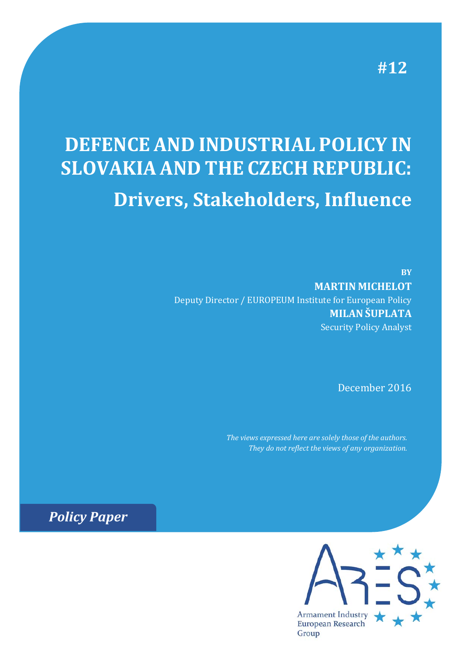**#12**

# **DEFENCE AND INDUSTRIAL POLICY IN SLOVAKIA AND THE CZECH REPUBLIC: Drivers, Stakeholders, Influence**

**BY MARTIN MICHELOT** Deputy Director / EUROPEUM Institute for European Policy **MILAN ŠUPLATA** Security Policy Analyst

December 2016

*The views expressed here are solely those of the authors. They do not reflect the views of any organization.*

*Policy Paper*

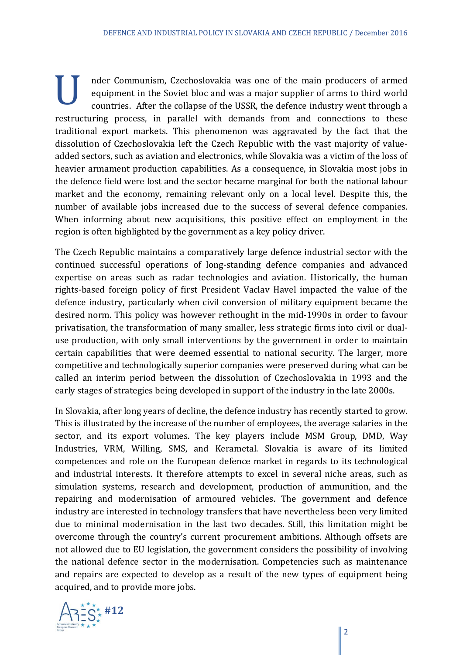I nder Communism, Czechoslovakia was one of the main producers of armed equipment in the Soviet bloc and was a major supplier of arms to third world countries. After the collapse of the USSR, the defence industry went thro equipment in the Soviet bloc and was a major supplier of arms to third world countries. After the collapse of the USSR, the defence industry went through a restructuring process, in parallel with demands from and connections to these traditional export markets. This phenomenon was aggravated by the fact that the dissolution of Czechoslovakia left the Czech Republic with the vast majority of valueadded sectors, such as aviation and electronics, while Slovakia was a victim of the loss of heavier armament production capabilities. As a consequence, in Slovakia most jobs in the defence field were lost and the sector became marginal for both the national labour market and the economy, remaining relevant only on a local level. Despite this, the number of available jobs increased due to the success of several defence companies. When informing about new acquisitions, this positive effect on employment in the region is often highlighted by the government as a key policy driver.

The Czech Republic maintains a comparatively large defence industrial sector with the continued successful operations of long-standing defence companies and advanced expertise on areas such as radar technologies and aviation. Historically, the human rights-based foreign policy of first President Vaclav Havel impacted the value of the defence industry, particularly when civil conversion of military equipment became the desired norm. This policy was however rethought in the mid-1990s in order to favour privatisation, the transformation of many smaller, less strategic firms into civil or dualuse production, with only small interventions by the government in order to maintain certain capabilities that were deemed essential to national security. The larger, more competitive and technologically superior companies were preserved during what can be called an interim period between the dissolution of Czechoslovakia in 1993 and the early stages of strategies being developed in support of the industry in the late 2000s.

In Slovakia, after long years of decline, the defence industry has recently started to grow. This is illustrated by the increase of the number of employees, the average salaries in the sector, and its export volumes. The key players include MSM Group, DMD, Way Industries, VRM, Willing, SMS, and Kerametal. Slovakia is aware of its limited competences and role on the European defence market in regards to its technological and industrial interests. It therefore attempts to excel in several niche areas, such as simulation systems, research and development, production of ammunition, and the repairing and modernisation of armoured vehicles. The government and defence industry are interested in technology transfers that have nevertheless been very limited due to minimal modernisation in the last two decades. Still, this limitation might be overcome through the country's current procurement ambitions. Although offsets are not allowed due to EU legislation, the government considers the possibility of involving the national defence sector in the modernisation. Competencies such as maintenance and repairs are expected to develop as a result of the new types of equipment being acquired, and to provide more jobs.

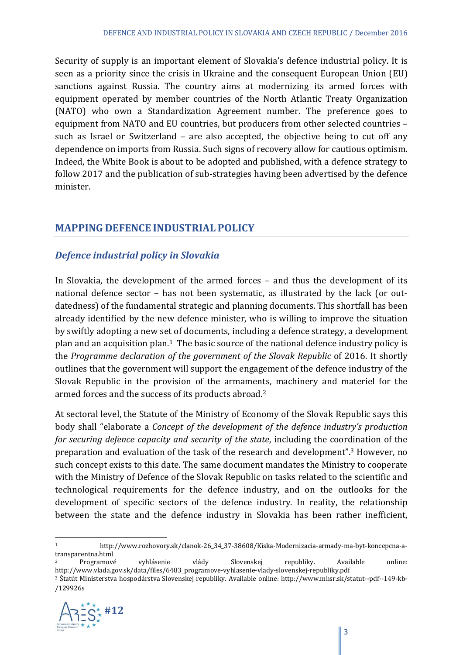Security of supply is an important element of Slovakia's defence industrial policy. It is seen as a priority since the crisis in Ukraine and the consequent European Union (EU) sanctions against Russia. The country aims at modernizing its armed forces with equipment operated by member countries of the North Atlantic Treaty Organization (NATO) who own a Standardization Agreement number. The preference goes to equipment from NATO and EU countries, but producers from other selected countries such as Israel or Switzerland  $-$  are also accepted, the objective being to cut off any dependence on imports from Russia. Such signs of recovery allow for cautious optimism. Indeed, the White Book is about to be adopted and published, with a defence strategy to follow 2017 and the publication of sub-strategies having been advertised by the defence minister.

## **MAPPING DEFENCE INDUSTRIAL POLICY**

#### *Defence industrial policy in Slovakia*

In Slovakia, the development of the armed forces – and thus the development of its national defence sector – has not been systematic, as illustrated by the lack (or outdatedness) of the fundamental strategic and planning documents. This shortfall has been already identified by the new defence minister, who is willing to improve the situation by swiftly adopting a new set of documents, including a defence strategy, a development plan and an acquisition plan.<sup>1</sup> The basic source of the national defence industry policy is the *Programme declaration of the government of the Slovak Republic* of 2016. It shortly outlines that the government will support the engagement of the defence industry of the Slovak Republic in the provision of the armaments, machinery and materiel for the armed forces and the success of its products abroad.<sup>2</sup>

At sectoral level, the Statute of the Ministry of Economy of the Slovak Republic says this body shall "elaborate a *Concept of the development of the defence industry's production for securing defence capacity and security of the state, including the coordination of the* preparation and evaluation of the task of the research and development".<sup>3</sup> However, no such concept exists to this date. The same document mandates the Ministry to cooperate with the Ministry of Defence of the Slovak Republic on tasks related to the scientific and technological requirements for the defence industry, and on the outlooks for the development of specific sectors of the defence industry. In reality, the relationship between the state and the defence industry in Slovakia has been rather inefficient,

<sup>&</sup>lt;sup>3</sup> Štatút Ministerstva hospodárstva Slovenskej republiky. Available online: http://www.mhsr.sk/statut--pdf--149-kb-/129926s 



 1 http://www.rozhovory.sk/clanok‐26\_34\_37‐38608/Kiska‐Modernizacia‐armady‐ma‐byt‐koncepcna‐a‐ transparentna.html 

Programové vyhlásenie vlády Slovenskej republiky. Available online: http://www.vlada.gov.sk/data/files/6483\_programove‐vyhlasenie‐vlady‐slovenskej‐republiky.pdf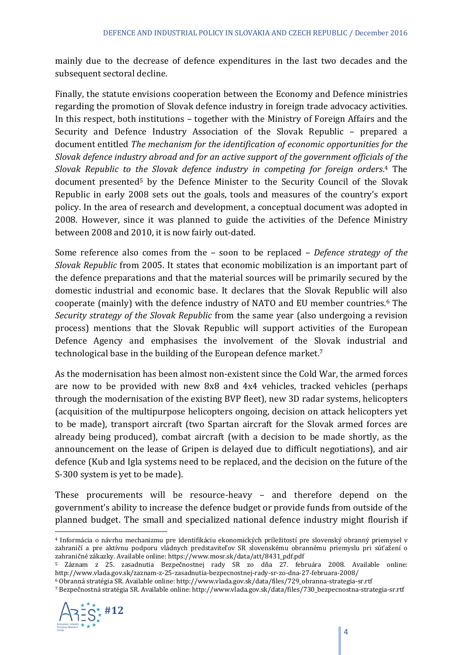mainly due to the decrease of defence expenditures in the last two decades and the subsequent sectoral decline.

Finally, the statute envisions cooperation between the Economy and Defence ministries regarding the promotion of Slovak defence industry in foreign trade advocacy activities. In this respect, both institutions  $-$  together with the Ministry of Foreign Affairs and the Security and Defence Industry Association of the Slovak Republic - prepared a document entitled *The mechanism for the identification of economic opportunities for the Slovak defence industry abroad and for an active support of the government officials of the Slovak Republic to the Slovak defence industry in competing for foreign orders*. 4 The document presented<sup>5</sup> by the Defence Minister to the Security Council of the Slovak Republic in early 2008 sets out the goals, tools and measures of the country's export policy. In the area of research and development, a conceptual document was adopted in 2008. However, since it was planned to guide the activities of the Defence Ministry between 2008 and 2010, it is now fairly out-dated.

Some reference also comes from the – soon to be replaced – *Defence strategy of the Slovak Republic* from 2005. It states that economic mobilization is an important part of the defence preparations and that the material sources will be primarily secured by the domestic industrial and economic base. It declares that the Slovak Republic will also cooperate (mainly) with the defence industry of NATO and EU member countries.<sup>6</sup> The *Security strategy of the Slovak Republic* from the same year (also undergoing a revision process) mentions that the Slovak Republic will support activities of the European Defence Agency and emphasises the involvement of the Slovak industrial and technological base in the building of the European defence market.<sup>7</sup>

As the modernisation has been almost non-existent since the Cold War, the armed forces are now to be provided with new  $8x8$  and  $4x4$  vehicles, tracked vehicles (perhaps through the modernisation of the existing BVP fleet), new 3D radar systems, helicopters (acquisition of the multipurpose helicopters ongoing, decision on attack helicopters yet to be made), transport aircraft (two Spartan aircraft for the Slovak armed forces are already being produced), combat aircraft (with a decision to be made shortly, as the announcement on the lease of Gripen is delayed due to difficult negotiations), and air defence (Kub and Igla systems need to be replaced, and the decision on the future of the S-300 system is yet to be made).

These procurements will be resource-heavy – and therefore depend on the government's ability to increase the defence budget or provide funds from outside of the planned budget. The small and specialized national defence industry might flourish if

<sup>7</sup> Bezpečnostná stratégia SR. Available online: http://www.vlada.gov.sk/data/files/730\_bezpecnostna‐strategia‐sr.rtf 



<sup>&</sup>lt;sup>4</sup> Informácia o návrhu mechanizmu pre identifikáciu ekonomických príležitostí pre slovenský obranný priemysel v zahraničí a pre aktívnu podporu vládnych predstaviteľov SR slovenskému obrannému priemyslu pri súťažení o zahraničné zákazky. Available online: https://www.mosr.sk/data/att/8431\_pdf.pdf

<sup>5</sup> Záznam z 25. zasadnutia Bezpečnostnej rady SR zo dňa 27. februára 2008. Available online: http://www.vlada.gov.sk/zaznam‐z‐25‐zasadnutia‐bezpecnostnej‐rady‐sr‐zo‐dna‐27‐februara‐2008/ 

<sup>6</sup> Obranná stratégia SR. Available online: http://www.vlada.gov.sk/data/files/729\_obranna‐strategia‐sr.rtf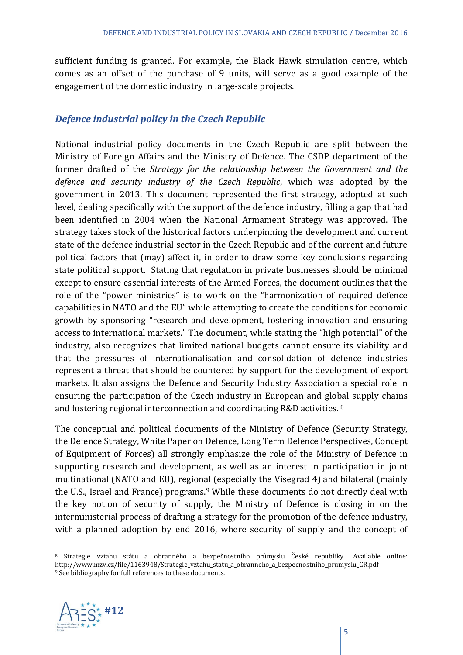sufficient funding is granted. For example, the Black Hawk simulation centre, which comes as an offset of the purchase of 9 units, will serve as a good example of the engagement of the domestic industry in large-scale projects.

#### *Defence industrial policy in the Czech Republic*

National industrial policy documents in the Czech Republic are split between the Ministry of Foreign Affairs and the Ministry of Defence. The CSDP department of the former drafted of the *Strategy for the relationship between the Government and the defence and security industry of the Czech Republic*, which was adopted by the government in 2013. This document represented the first strategy, adopted at such level, dealing specifically with the support of the defence industry, filling a gap that had been identified in 2004 when the National Armament Strategy was approved. The strategy takes stock of the historical factors underpinning the development and current state of the defence industrial sector in the Czech Republic and of the current and future political factors that (may) affect it, in order to draw some key conclusions regarding state political support. Stating that regulation in private businesses should be minimal except to ensure essential interests of the Armed Forces, the document outlines that the role of the "power ministries" is to work on the "harmonization of required defence capabilities in NATO and the EU" while attempting to create the conditions for economic growth by sponsoring "research and development, fostering innovation and ensuring access to international markets." The document, while stating the "high potential" of the industry, also recognizes that limited national budgets cannot ensure its viability and that the pressures of internationalisation and consolidation of defence industries represent a threat that should be countered by support for the development of export markets. It also assigns the Defence and Security Industry Association a special role in ensuring the participation of the Czech industry in European and global supply chains and fostering regional interconnection and coordinating R&D activities.  $8$ 

The conceptual and political documents of the Ministry of Defence (Security Strategy, the Defence Strategy, White Paper on Defence, Long Term Defence Perspectives, Concept of Equipment of Forces) all strongly emphasize the role of the Ministry of Defence in supporting research and development, as well as an interest in participation in joint multinational (NATO and EU), regional (especially the Visegrad 4) and bilateral (mainly the U.S., Israel and France) programs.<sup>9</sup> While these documents do not directly deal with the key notion of security of supply, the Ministry of Defence is closing in on the interministerial process of drafting a strategy for the promotion of the defence industry, with a planned adoption by end 2016, where security of supply and the concept of

<sup>&</sup>lt;sup>8</sup> Strategie vztahu státu a obranného a bezpečnostního průmyslu České republiky. Available online: http://www.mzv.cz/file/1163948/Strategie\_vztahu\_statu\_a\_obranneho\_a\_bezpecnostniho\_prumyslu\_CR.pdf <sup>9</sup> See bibliography for full references to these documents.

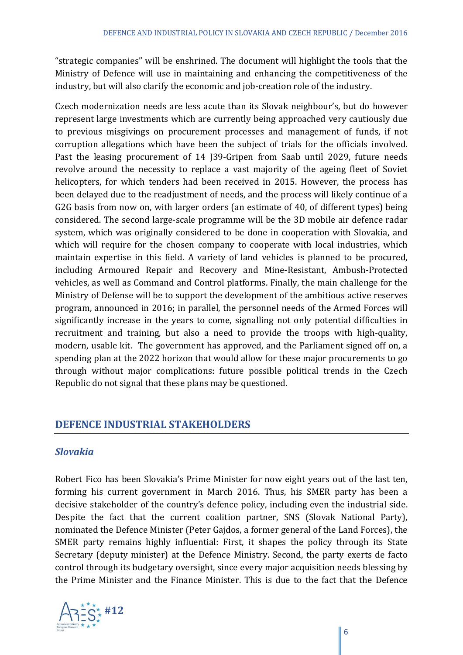"strategic companies" will be enshrined. The document will highlight the tools that the Ministry of Defence will use in maintaining and enhancing the competitiveness of the industry, but will also clarify the economic and job-creation role of the industry.

Czech modernization needs are less acute than its Slovak neighbour's, but do however represent large investments which are currently being approached very cautiously due to previous misgivings on procurement processes and management of funds, if not corruption allegations which have been the subject of trials for the officials involved. Past the leasing procurement of 14 J39-Gripen from Saab until 2029, future needs revolve around the necessity to replace a vast majority of the ageing fleet of Soviet helicopters, for which tenders had been received in 2015. However, the process has been delayed due to the readjustment of needs, and the process will likely continue of a G2G basis from now on, with larger orders (an estimate of 40, of different types) being considered. The second large-scale programme will be the 3D mobile air defence radar system, which was originally considered to be done in cooperation with Slovakia, and which will require for the chosen company to cooperate with local industries, which maintain expertise in this field. A variety of land vehicles is planned to be procured, including Armoured Repair and Recovery and Mine-Resistant, Ambush-Protected vehicles, as well as Command and Control platforms. Finally, the main challenge for the Ministry of Defense will be to support the development of the ambitious active reserves program, announced in 2016; in parallel, the personnel needs of the Armed Forces will significantly increase in the years to come, signalling not only potential difficulties in recruitment and training, but also a need to provide the troops with high-quality, modern, usable kit. The government has approved, and the Parliament signed off on, a spending plan at the 2022 horizon that would allow for these major procurements to go through without major complications: future possible political trends in the Czech Republic do not signal that these plans may be questioned.

#### **DEFENCE INDUSTRIAL STAKEHOLDERS**

#### *Slovakia*

Robert Fico has been Slovakia's Prime Minister for now eight years out of the last ten, forming his current government in March 2016. Thus, his SMER party has been a decisive stakeholder of the country's defence policy, including even the industrial side. Despite the fact that the current coalition partner, SNS (Slovak National Party), nominated the Defence Minister (Peter Gajdos, a former general of the Land Forces), the SMER party remains highly influential: First, it shapes the policy through its State Secretary (deputy minister) at the Defence Ministry. Second, the party exerts de facto control through its budgetary oversight, since every major acquisition needs blessing by the Prime Minister and the Finance Minister. This is due to the fact that the Defence

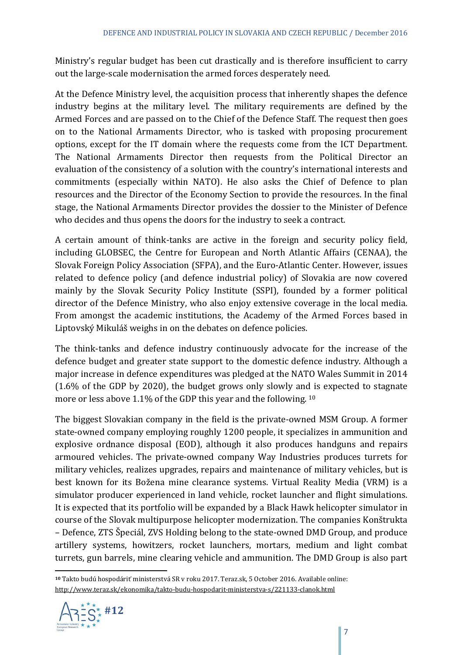Ministry's regular budget has been cut drastically and is therefore insufficient to carry out the large-scale modernisation the armed forces desperately need.

At the Defence Ministry level, the acquisition process that inherently shapes the defence industry begins at the military level. The military requirements are defined by the Armed Forces and are passed on to the Chief of the Defence Staff. The request then goes on to the National Armaments Director, who is tasked with proposing procurement options, except for the IT domain where the requests come from the ICT Department. The National Armaments Director then requests from the Political Director an evaluation of the consistency of a solution with the country's international interests and commitments (especially within NATO). He also asks the Chief of Defence to plan resources and the Director of the Economy Section to provide the resources. In the final stage, the National Armaments Director provides the dossier to the Minister of Defence who decides and thus opens the doors for the industry to seek a contract.

A certain amount of think-tanks are active in the foreign and security policy field, including GLOBSEC, the Centre for European and North Atlantic Affairs (CENAA), the Slovak Foreign Policy Association (SFPA), and the Euro-Atlantic Center. However, issues related to defence policy (and defence industrial policy) of Slovakia are now covered mainly by the Slovak Security Policy Institute (SSPI), founded by a former political director of the Defence Ministry, who also enjoy extensive coverage in the local media. From amongst the academic institutions, the Academy of the Armed Forces based in Liptovský Mikuláš weighs in on the debates on defence policies.

The think-tanks and defence industry continuously advocate for the increase of the defence budget and greater state support to the domestic defence industry. Although a major increase in defence expenditures was pledged at the NATO Wales Summit in 2014  $(1.6\%$  of the GDP by 2020), the budget grows only slowly and is expected to stagnate more or less above 1.1% of the GDP this year and the following.  $10^{10}$ 

The biggest Slovakian company in the field is the private-owned MSM Group. A former state-owned company employing roughly 1200 people, it specializes in ammunition and explosive ordnance disposal (EOD), although it also produces handguns and repairs armoured vehicles. The private-owned company Way Industries produces turrets for military vehicles, realizes upgrades, repairs and maintenance of military vehicles, but is best known for its Božena mine clearance systems. Virtual Reality Media (VRM) is a simulator producer experienced in land vehicle, rocket launcher and flight simulations. It is expected that its portfolio will be expanded by a Black Hawk helicopter simulator in course of the Slovak multipurpose helicopter modernization. The companies Konštrukta – Defence, ZTS Špeciál, ZVS Holding belong to the state-owned DMD Group, and produce artillery systems, howitzers, rocket launchers, mortars, medium and light combat turrets, gun barrels, mine clearing vehicle and ammunition. The DMD Group is also part

 <sup>10</sup> Takto budú hospodáriť ministerstvá SR v roku 2017. Teraz.sk, 5 October 2016. Available online: http://www.teraz.sk/ekonomika/takto‐budu‐hospodarit‐ministerstva‐s/221133‐clanok.html 

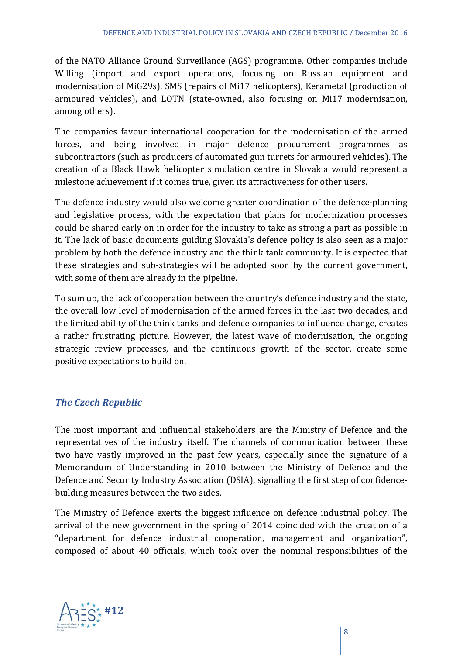of the NATO Alliance Ground Surveillance (AGS) programme. Other companies include Willing (import and export operations, focusing on Russian equipment and modernisation of MiG29s), SMS (repairs of Mi17 helicopters), Kerametal (production of armoured vehicles), and LOTN (state-owned, also focusing on Mi17 modernisation, among others).

The companies favour international cooperation for the modernisation of the armed forces, and being involved in major defence procurement programmes as subcontractors (such as producers of automated gun turrets for armoured vehicles). The creation of a Black Hawk helicopter simulation centre in Slovakia would represent a milestone achievement if it comes true, given its attractiveness for other users.

The defence industry would also welcome greater coordination of the defence-planning and legislative process, with the expectation that plans for modernization processes could be shared early on in order for the industry to take as strong a part as possible in it. The lack of basic documents guiding Slovakia's defence policy is also seen as a major problem by both the defence industry and the think tank community. It is expected that these strategies and sub-strategies will be adopted soon by the current government, with some of them are already in the pipeline.

To sum up, the lack of cooperation between the country's defence industry and the state, the overall low level of modernisation of the armed forces in the last two decades, and the limited ability of the think tanks and defence companies to influence change, creates a rather frustrating picture. However, the latest wave of modernisation, the ongoing strategic review processes, and the continuous growth of the sector, create some positive expectations to build on.

#### *The Czech Republic*

The most important and influential stakeholders are the Ministry of Defence and the representatives of the industry itself. The channels of communication between these two have vastly improved in the past few years, especially since the signature of a Memorandum of Understanding in 2010 between the Ministry of Defence and the Defence and Security Industry Association (DSIA), signalling the first step of confidencebuilding measures between the two sides.

The Ministry of Defence exerts the biggest influence on defence industrial policy. The arrival of the new government in the spring of 2014 coincided with the creation of a "department for defence industrial cooperation, management and organization", composed of about 40 officials, which took over the nominal responsibilities of the

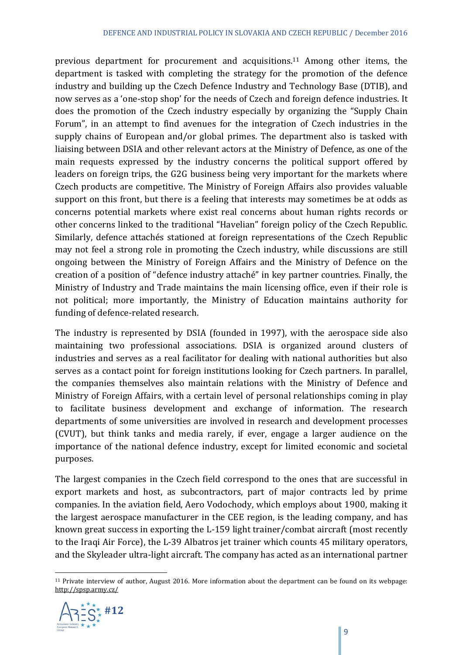previous department for procurement and acquisitions.<sup>11</sup> Among other items, the department is tasked with completing the strategy for the promotion of the defence industry and building up the Czech Defence Industry and Technology Base (DTIB), and now serves as a 'one-stop shop' for the needs of Czech and foreign defence industries. It does the promotion of the Czech industry especially by organizing the "Supply Chain Forum", in an attempt to find avenues for the integration of Czech industries in the supply chains of European and/or global primes. The department also is tasked with liaising between DSIA and other relevant actors at the Ministry of Defence, as one of the main requests expressed by the industry concerns the political support offered by leaders on foreign trips, the G2G business being very important for the markets where Czech products are competitive. The Ministry of Foreign Affairs also provides valuable support on this front, but there is a feeling that interests may sometimes be at odds as concerns potential markets where exist real concerns about human rights records or other concerns linked to the traditional "Havelian" foreign policy of the Czech Republic. Similarly, defence attachés stationed at foreign representations of the Czech Republic may not feel a strong role in promoting the Czech industry, while discussions are still ongoing between the Ministry of Foreign Affairs and the Ministry of Defence on the creation of a position of "defence industry attaché" in key partner countries. Finally, the Ministry of Industry and Trade maintains the main licensing office, even if their role is not political; more importantly, the Ministry of Education maintains authority for funding of defence-related research.

The industry is represented by DSIA (founded in 1997), with the aerospace side also maintaining two professional associations. DSIA is organized around clusters of industries and serves as a real facilitator for dealing with national authorities but also serves as a contact point for foreign institutions looking for Czech partners. In parallel, the companies themselves also maintain relations with the Ministry of Defence and Ministry of Foreign Affairs, with a certain level of personal relationships coming in play to facilitate business development and exchange of information. The research departments of some universities are involved in research and development processes (CVUT), but think tanks and media rarely, if ever, engage a larger audience on the importance of the national defence industry, except for limited economic and societal purposes. 

The largest companies in the Czech field correspond to the ones that are successful in export markets and host, as subcontractors, part of major contracts led by prime companies. In the aviation field, Aero Vodochody, which employs about 1900, making it the largest aerospace manufacturer in the CEE region, is the leading company, and has known great success in exporting the L-159 light trainer/combat aircraft (most recently to the Iraqi Air Force), the L-39 Albatros jet trainer which counts 45 military operators, and the Skyleader ultra-light aircraft. The company has acted as an international partner

  $11$  Private interview of author, August 2016. More information about the department can be found on its webpage: http://spsp.army.cz/ 

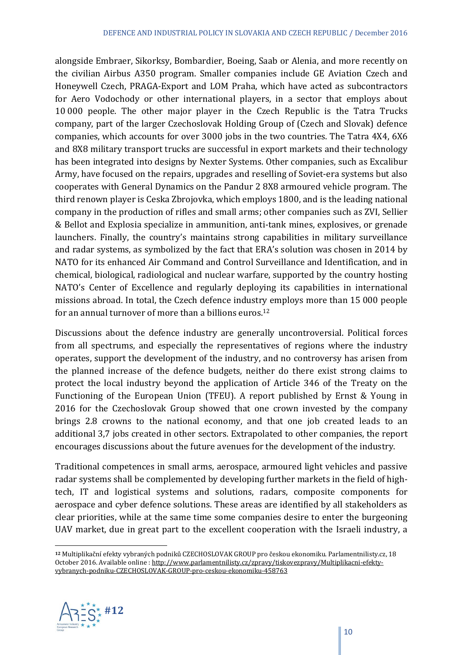alongside Embraer, Sikorksy, Bombardier, Boeing, Saab or Alenia, and more recently on the civilian Airbus A350 program. Smaller companies include GE Aviation Czech and Honeywell Czech, PRAGA-Export and LOM Praha, which have acted as subcontractors for Aero Vodochody or other international players, in a sector that employs about 10000 people. The other major player in the Czech Republic is the Tatra Trucks company, part of the larger Czechoslovak Holding Group of (Czech and Slovak) defence companies, which accounts for over 3000 jobs in the two countries. The Tatra 4X4, 6X6 and 8X8 military transport trucks are successful in export markets and their technology has been integrated into designs by Nexter Systems. Other companies, such as Excalibur Army, have focused on the repairs, upgrades and reselling of Soviet-era systems but also cooperates with General Dynamics on the Pandur 2 8X8 armoured vehicle program. The third renown player is Ceska Zbrojovka, which employs 1800, and is the leading national company in the production of rifles and small arms; other companies such as ZVI, Sellier & Bellot and Explosia specialize in ammunition, anti-tank mines, explosives, or grenade launchers. Finally, the country's maintains strong capabilities in military surveillance and radar systems, as symbolized by the fact that ERA's solution was chosen in 2014 by NATO for its enhanced Air Command and Control Surveillance and Identification, and in chemical, biological, radiological and nuclear warfare, supported by the country hosting NATO's Center of Excellence and regularly deploying its capabilities in international missions abroad. In total, the Czech defence industry employs more than 15 000 people for an annual turnover of more than a billions euros.<sup>12</sup>

Discussions about the defence industry are generally uncontroversial. Political forces from all spectrums, and especially the representatives of regions where the industry operates, support the development of the industry, and no controversy has arisen from the planned increase of the defence budgets, neither do there exist strong claims to protect the local industry beyond the application of Article 346 of the Treaty on the Functioning of the European Union (TFEU). A report published by Ernst & Young in 2016 for the Czechoslovak Group showed that one crown invested by the company brings 2.8 crowns to the national economy, and that one job created leads to an additional 3.7 jobs created in other sectors. Extrapolated to other companies, the report encourages discussions about the future avenues for the development of the industry.

Traditional competences in small arms, aerospace, armoured light vehicles and passive radar systems shall be complemented by developing further markets in the field of hightech, IT and logistical systems and solutions, radars, composite components for aerospace and cyber defence solutions. These areas are identified by all stakeholders as clear priorities, while at the same time some companies desire to enter the burgeoning UAV market, due in great part to the excellent cooperation with the Israeli industry, a

<sup>12</sup> Multiplikační efekty vybraných podniků CZECHOSLOVAK GROUP pro českou ekonomiku. Parlamentnilisty.cz, 18 October 2016. Available online : http://www.parlamentnilisty.cz/zpravy/tiskovezpravy/Multiplikacni-efektyvybranych‐podniku‐CZECHOSLOVAK‐GROUP‐pro‐ceskou‐ekonomiku‐458763 

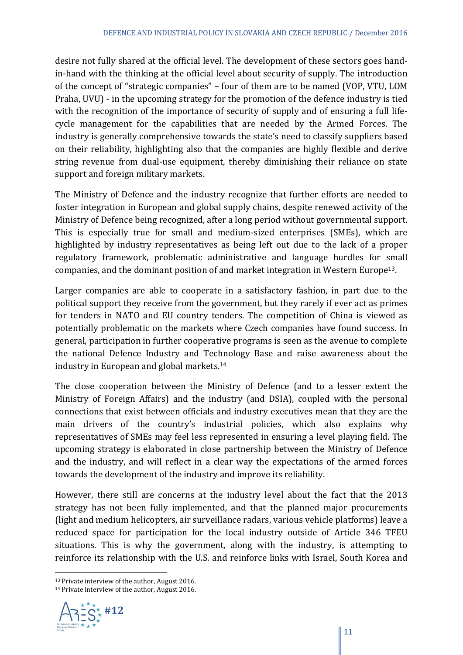desire not fully shared at the official level. The development of these sectors goes handin-hand with the thinking at the official level about security of supply. The introduction of the concept of "strategic companies" – four of them are to be named (VOP, VTU, LOM Praha, UVU) - in the upcoming strategy for the promotion of the defence industry is tied with the recognition of the importance of security of supply and of ensuring a full lifecycle management for the capabilities that are needed by the Armed Forces. The industry is generally comprehensive towards the state's need to classify suppliers based on their reliability, highlighting also that the companies are highly flexible and derive string revenue from dual-use equipment, thereby diminishing their reliance on state support and foreign military markets.

The Ministry of Defence and the industry recognize that further efforts are needed to foster integration in European and global supply chains, despite renewed activity of the Ministry of Defence being recognized, after a long period without governmental support. This is especially true for small and medium-sized enterprises (SMEs), which are highlighted by industry representatives as being left out due to the lack of a proper regulatory framework, problematic administrative and language hurdles for small companies, and the dominant position of and market integration in Western Europe<sup>13</sup>.

Larger companies are able to cooperate in a satisfactory fashion, in part due to the political support they receive from the government, but they rarely if ever act as primes for tenders in NATO and EU country tenders. The competition of China is viewed as potentially problematic on the markets where Czech companies have found success. In general, participation in further cooperative programs is seen as the avenue to complete the national Defence Industry and Technology Base and raise awareness about the industry in European and global markets.<sup>14</sup>

The close cooperation between the Ministry of Defence (and to a lesser extent the Ministry of Foreign Affairs) and the industry (and DSIA), coupled with the personal connections that exist between officials and industry executives mean that they are the main drivers of the country's industrial policies, which also explains why representatives of SMEs may feel less represented in ensuring a level playing field. The upcoming strategy is elaborated in close partnership between the Ministry of Defence and the industry, and will reflect in a clear way the expectations of the armed forces towards the development of the industry and improve its reliability.

However, there still are concerns at the industry level about the fact that the 2013 strategy has not been fully implemented, and that the planned major procurements (light and medium helicopters, air surveillance radars, various vehicle platforms) leave a reduced space for participation for the local industry outside of Article 346 TFEU situations. This is why the government, along with the industry, is attempting to reinforce its relationship with the U.S. and reinforce links with Israel, South Korea and

<sup>&</sup>lt;sup>14</sup> Private interview of the author, August 2016.



 $13$  Private interview of the author, August 2016.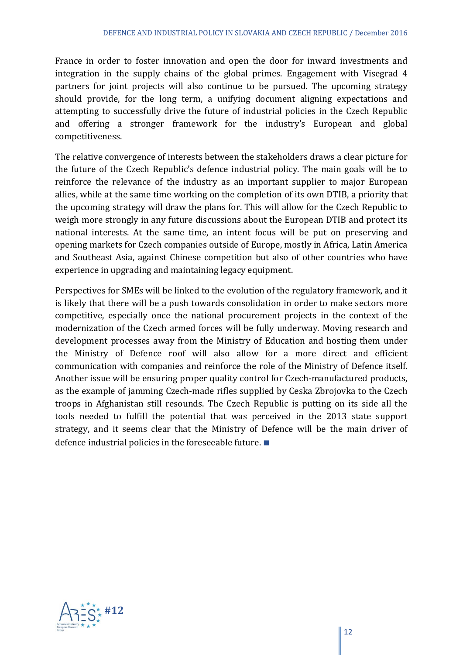France in order to foster innovation and open the door for inward investments and integration in the supply chains of the global primes. Engagement with Visegrad 4 partners for joint projects will also continue to be pursued. The upcoming strategy should provide, for the long term, a unifying document aligning expectations and attempting to successfully drive the future of industrial policies in the Czech Republic and offering a stronger framework for the industry's European and global competitiveness.

The relative convergence of interests between the stakeholders draws a clear picture for the future of the Czech Republic's defence industrial policy. The main goals will be to reinforce the relevance of the industry as an important supplier to major European allies, while at the same time working on the completion of its own DTIB, a priority that the upcoming strategy will draw the plans for. This will allow for the Czech Republic to weigh more strongly in any future discussions about the European DTIB and protect its national interests. At the same time, an intent focus will be put on preserving and opening markets for Czech companies outside of Europe, mostly in Africa, Latin America and Southeast Asia, against Chinese competition but also of other countries who have experience in upgrading and maintaining legacy equipment.

Perspectives for SMEs will be linked to the evolution of the regulatory framework, and it is likely that there will be a push towards consolidation in order to make sectors more competitive, especially once the national procurement projects in the context of the modernization of the Czech armed forces will be fully underway. Moving research and development processes away from the Ministry of Education and hosting them under the Ministry of Defence roof will also allow for a more direct and efficient communication with companies and reinforce the role of the Ministry of Defence itself. Another issue will be ensuring proper quality control for Czech-manufactured products, as the example of jamming Czech-made rifles supplied by Ceska Zbrojovka to the Czech troops in Afghanistan still resounds. The Czech Republic is putting on its side all the tools needed to fulfill the potential that was perceived in the 2013 state support strategy, and it seems clear that the Ministry of Defence will be the main driver of defence industrial policies in the foreseeable future.  $\blacksquare$ 

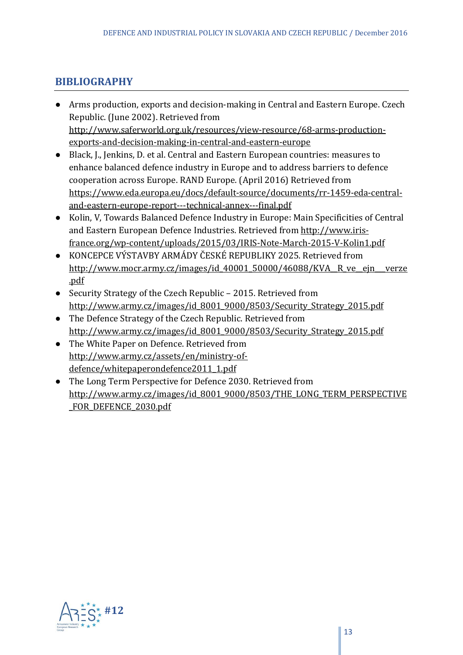## **BIBLIOGRAPHY**

- Arms production, exports and decision-making in Central and Eastern Europe. Czech Republic. (June 2002). Retrieved from http://www.saferworld.org.uk/resources/view-resource/68-arms-productionexports‐and‐decision‐making‐in‐central‐and‐eastern‐europe
- Black, J., Jenkins, D. et al. Central and Eastern European countries: measures to enhance balanced defence industry in Europe and to address barriers to defence cooperation across Europe. RAND Europe. (April 2016) Retrieved from https://www.eda.europa.eu/docs/default‐source/documents/rr‐1459‐eda‐central‐ and‐eastern‐europe‐report‐‐‐technical‐annex‐‐‐final.pdf
- Kolin, V. Towards Balanced Defence Industry in Europe: Main Specificities of Central and Eastern European Defence Industries. Retrieved from http://www.irisfrance.org/wp‐content/uploads/2015/03/IRIS‐Note‐March‐2015‐V‐Kolin1.pdf
- KONCEPCE VÝSTAVBY ARMÁDY ČESKÉ REPUBLIKY 2025. Retrieved from http://www.mocr.army.cz/images/id\_40001\_50000/46088/KVA\_\_R\_ve\_\_ejn\_\_verze .pdf
- Security Strategy of the Czech Republic 2015. Retrieved from http://www.army.cz/images/id\_8001\_9000/8503/Security\_Strategy\_2015.pdf
- The Defence Strategy of the Czech Republic. Retrieved from http://www.army.cz/images/id\_8001\_9000/8503/Security\_Strategy\_2015.pdf
- The White Paper on Defence. Retrieved from http://www.army.cz/assets/en/ministry‐of‐ defence/whitepaperondefence2011\_1.pdf
- The Long Term Perspective for Defence 2030. Retrieved from http://www.army.cz/images/id\_8001\_9000/8503/THE\_LONG\_TERM\_PERSPECTIVE FOR DEFENCE 2030.pdf